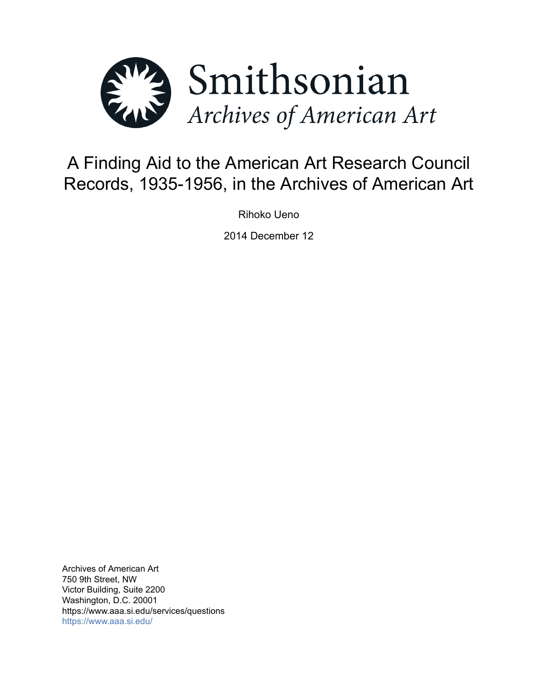

# A Finding Aid to the American Art Research Council Records, 1935-1956, in the Archives of American Art

Rihoko Ueno

2014 December 12

Archives of American Art 750 9th Street, NW Victor Building, Suite 2200 Washington, D.C. 20001 https://www.aaa.si.edu/services/questions <https://www.aaa.si.edu/>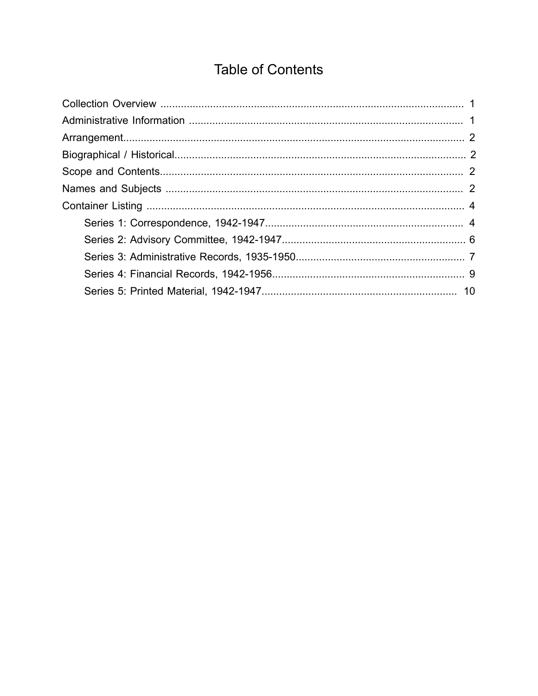## **Table of Contents**

<span id="page-1-0"></span>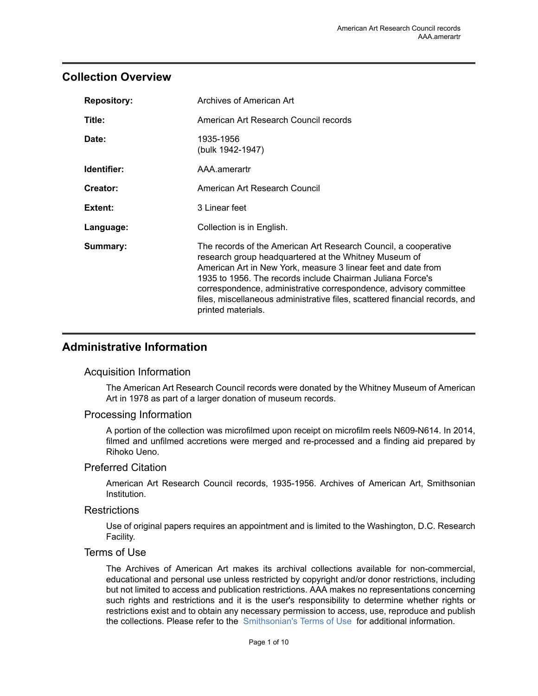## <span id="page-2-0"></span>**Collection Overview**

| <b>Repository:</b> | Archives of American Art                                                                                                                                                                                                                                                                                                                                                                                                          |
|--------------------|-----------------------------------------------------------------------------------------------------------------------------------------------------------------------------------------------------------------------------------------------------------------------------------------------------------------------------------------------------------------------------------------------------------------------------------|
| Title:             | American Art Research Council records                                                                                                                                                                                                                                                                                                                                                                                             |
| Date:              | 1935-1956<br>(bulk 1942-1947)                                                                                                                                                                                                                                                                                                                                                                                                     |
| Identifier:        | AAA.amerartr                                                                                                                                                                                                                                                                                                                                                                                                                      |
| Creator:           | American Art Research Council                                                                                                                                                                                                                                                                                                                                                                                                     |
| Extent:            | 3 Linear feet                                                                                                                                                                                                                                                                                                                                                                                                                     |
| Language:          | Collection is in English.                                                                                                                                                                                                                                                                                                                                                                                                         |
| Summary:           | The records of the American Art Research Council, a cooperative<br>research group headquartered at the Whitney Museum of<br>American Art in New York, measure 3 linear feet and date from<br>1935 to 1956. The records include Chairman Juliana Force's<br>correspondence, administrative correspondence, advisory committee<br>files, miscellaneous administrative files, scattered financial records, and<br>printed materials. |

## <span id="page-2-1"></span>**Administrative Information**

#### Acquisition Information

The American Art Research Council records were donated by the Whitney Museum of American Art in 1978 as part of a larger donation of museum records.

#### Processing Information

A portion of the collection was microfilmed upon receipt on microfilm reels N609-N614. In 2014, filmed and unfilmed accretions were merged and re-processed and a finding aid prepared by Rihoko Ueno.

#### Preferred Citation

American Art Research Council records, 1935-1956. Archives of American Art, Smithsonian Institution.

#### **Restrictions**

Use of original papers requires an appointment and is limited to the Washington, D.C. Research Facility.

#### Terms of Use

The Archives of American Art makes its archival collections available for non-commercial, educational and personal use unless restricted by copyright and/or donor restrictions, including but not limited to access and publication restrictions. AAA makes no representations concerning such rights and restrictions and it is the user's responsibility to determine whether rights or restrictions exist and to obtain any necessary permission to access, use, reproduce and publish the collections. Please refer to the [Smithsonian's](https://www.si.edu/termsofuse) Terms of Use for additional information.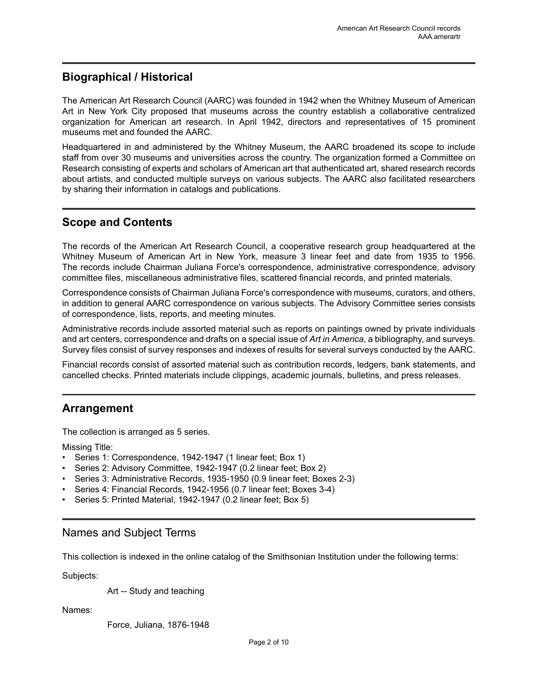## <span id="page-3-1"></span>**Biographical / Historical**

The American Art Research Council (AARC) was founded in 1942 when the Whitney Museum of American Art in New York City proposed that museums across the country establish a collaborative centralized organization for American art research. In April 1942, directors and representatives of 15 prominent museums met and founded the AARC.

Headquartered in and administered by the Whitney Museum, the AARC broadened its scope to include staff from over 30 museums and universities across the country. The organization formed a Committee on Research consisting of experts and scholars of American art that authenticated art, shared research records about artists, and conducted multiple surveys on various subjects. The AARC also facilitated researchers by sharing their information in catalogs and publications.

## <span id="page-3-2"></span>**Scope and Contents**

The records of the American Art Research Council, a cooperative research group headquartered at the Whitney Museum of American Art in New York, measure 3 linear feet and date from 1935 to 1956. The records include Chairman Juliana Force's correspondence, administrative correspondence, advisory committee files, miscellaneous administrative files, scattered financial records, and printed materials.

Correspondence consists of Chairman Juliana Force's correspondence with museums, curators, and others, in addition to general AARC correspondence on various subjects. The Advisory Committee series consists of correspondence, lists, reports, and meeting minutes.

Administrative records include assorted material such as reports on paintings owned by private individuals and art centers, correspondence and drafts on a special issue of *Art in America*, a bibliography, and surveys. Survey files consist of survey responses and indexes of results for several surveys conducted by the AARC.

Financial records consist of assorted material such as contribution records, ledgers, bank statements, and cancelled checks. Printed materials include clippings, academic journals, bulletins, and press releases.

## <span id="page-3-0"></span>**Arrangement**

The collection is arranged as 5 series.

Missing Title:

- Series 1: Correspondence, 1942-1947 (1 linear feet; Box 1)
- Series 2: Advisory Committee, 1942-1947 (0.2 linear feet; Box 2)
- Series 3: Administrative Records, 1935-1950 (0.9 linear feet; Boxes 2-3)
- Series 4: Financial Records, 1942-1956 (0.7 linear feet; Boxes 3-4)
- Series 5: Printed Material, 1942-1947 (0.2 linear feet; Box 5)

## <span id="page-3-3"></span>Names and Subject Terms

This collection is indexed in the online catalog of the Smithsonian Institution under the following terms:

Subjects:

Art -- Study and teaching

Names:

Force, Juliana, 1876-1948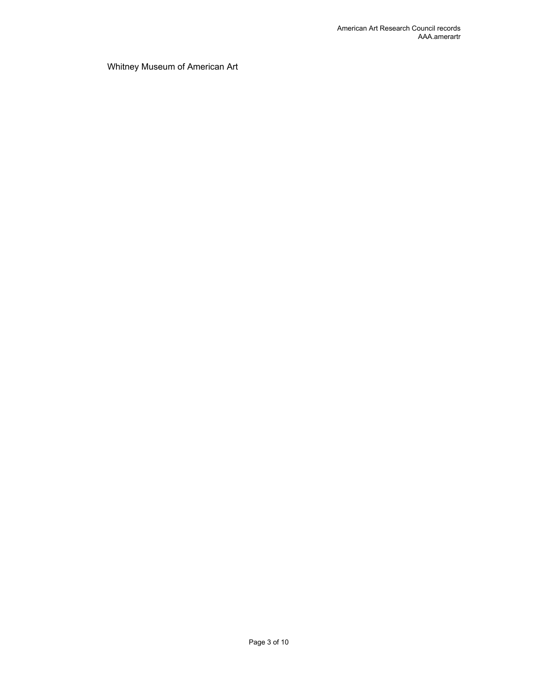Whitney Museum of American Art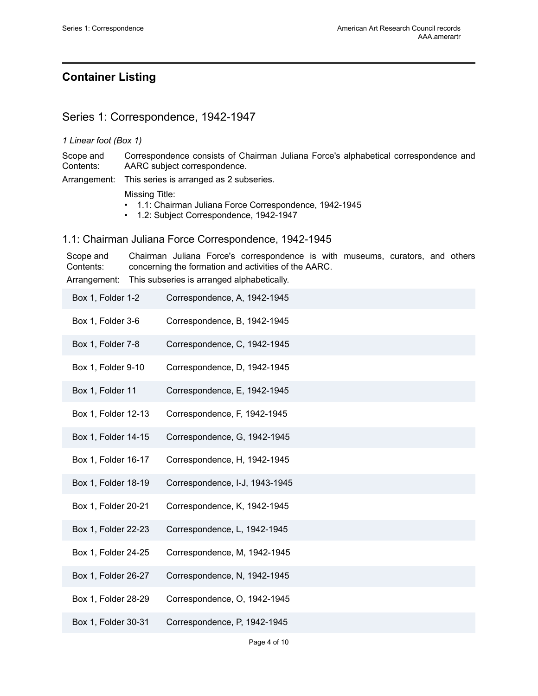## <span id="page-5-0"></span>**Container Listing**

## <span id="page-5-1"></span>Series 1: Correspondence, 1942-1947

#### *1 Linear foot (Box 1)*

Scope and Contents: Correspondence consists of Chairman Juliana Force's alphabetical correspondence and AARC subject correspondence.

Arrangement: This series is arranged as 2 subseries.

Missing Title:

- 1.1: Chairman Juliana Force Correspondence, 1942-1945
- 1.2: Subject Correspondence, 1942-1947

#### 1.1: Chairman Juliana Force Correspondence, 1942-1945

Scope and Contents: Chairman Juliana Force's correspondence is with museums, curators, and others concerning the formation and activities of the AARC. Arrangement: This subseries is arranged alphabetically.

| Box 1, Folder 1-2   | Correspondence, A, 1942-1945   |
|---------------------|--------------------------------|
| Box 1, Folder 3-6   | Correspondence, B, 1942-1945   |
| Box 1, Folder 7-8   | Correspondence, C, 1942-1945   |
| Box 1, Folder 9-10  | Correspondence, D, 1942-1945   |
| Box 1, Folder 11    | Correspondence, E, 1942-1945   |
| Box 1, Folder 12-13 | Correspondence, F, 1942-1945   |
| Box 1, Folder 14-15 | Correspondence, G, 1942-1945   |
| Box 1, Folder 16-17 | Correspondence, H, 1942-1945   |
| Box 1, Folder 18-19 | Correspondence, I-J, 1943-1945 |
| Box 1, Folder 20-21 | Correspondence, K, 1942-1945   |
| Box 1, Folder 22-23 | Correspondence, L, 1942-1945   |
| Box 1, Folder 24-25 | Correspondence, M, 1942-1945   |
| Box 1, Folder 26-27 | Correspondence, N, 1942-1945   |
| Box 1, Folder 28-29 | Correspondence, O, 1942-1945   |
| Box 1, Folder 30-31 | Correspondence, P, 1942-1945   |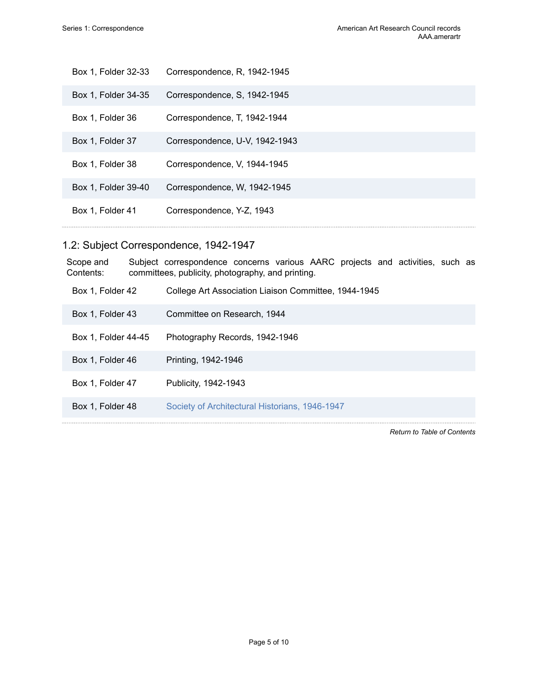| Box 1, Folder 32-33 | Correspondence, R, 1942-1945   |
|---------------------|--------------------------------|
| Box 1, Folder 34-35 | Correspondence, S. 1942-1945   |
| Box 1, Folder 36    | Correspondence, T, 1942-1944   |
| Box 1, Folder 37    | Correspondence, U-V, 1942-1943 |
| Box 1, Folder 38    | Correspondence, V, 1944-1945   |
| Box 1, Folder 39-40 | Correspondence, W, 1942-1945   |
| Box 1, Folder 41    | Correspondence, Y-Z, 1943      |

## 1.2: Subject Correspondence, 1942-1947

| Scope and<br>Contents: | Subject correspondence concerns various AARC projects and activities, such as<br>committees, publicity, photography, and printing. |
|------------------------|------------------------------------------------------------------------------------------------------------------------------------|
| Box 1, Folder 42       | College Art Association Liaison Committee, 1944-1945                                                                               |
| Box 1, Folder 43       | Committee on Research, 1944                                                                                                        |
| Box 1, Folder 44-45    | Photography Records, 1942-1946                                                                                                     |
| Box 1, Folder 46       | Printing, 1942-1946                                                                                                                |
| Box 1, Folder 47       | Publicity, 1942-1943                                                                                                               |
| Box 1, Folder 48       | Society of Architectural Historians, 1946-1947                                                                                     |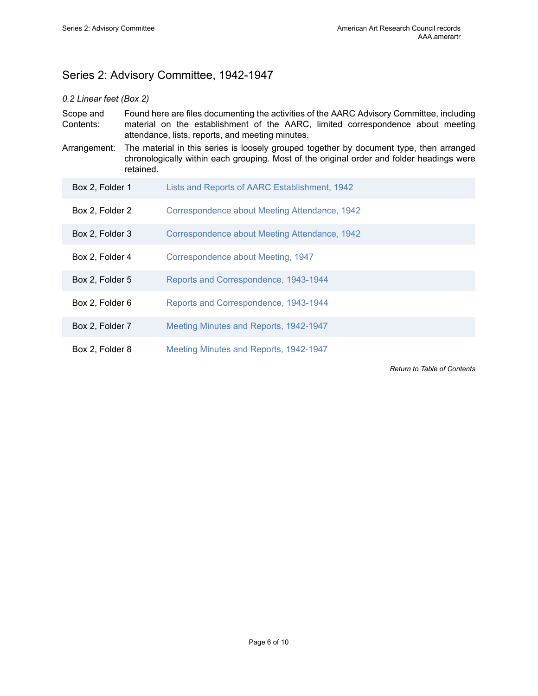## <span id="page-7-0"></span>Series 2: Advisory Committee, 1942-1947

#### *0.2 Linear feet (Box 2)*

- Scope and Contents: Found here are files documenting the activities of the AARC Advisory Committee, including material on the establishment of the AARC, limited correspondence about meeting attendance, lists, reports, and meeting minutes.
- Arrangement: The material in this series is loosely grouped together by document type, then arranged chronologically within each grouping. Most of the original order and folder headings were retained.

| Box 2, Folder 1 | Lists and Reports of AARC Establishment, 1942 |
|-----------------|-----------------------------------------------|
| Box 2, Folder 2 | Correspondence about Meeting Attendance, 1942 |
| Box 2, Folder 3 | Correspondence about Meeting Attendance, 1942 |
| Box 2, Folder 4 | Correspondence about Meeting, 1947            |
| Box 2, Folder 5 | Reports and Correspondence, 1943-1944         |
| Box 2, Folder 6 | Reports and Correspondence, 1943-1944         |
| Box 2, Folder 7 | Meeting Minutes and Reports, 1942-1947        |
| Box 2, Folder 8 | Meeting Minutes and Reports, 1942-1947        |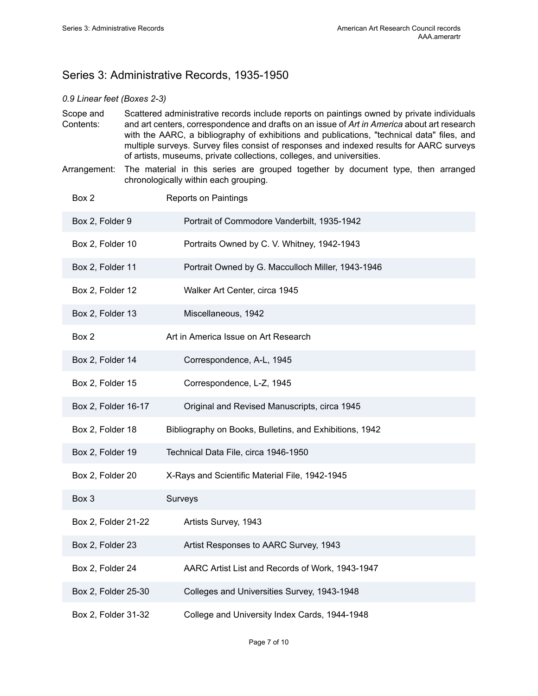## <span id="page-8-0"></span>Series 3: Administrative Records, 1935-1950

#### *0.9 Linear feet (Boxes 2-3)*

- Scope and Contents: Scattered administrative records include reports on paintings owned by private individuals and art centers, correspondence and drafts on an issue of *Art in America* about art research with the AARC, a bibliography of exhibitions and publications, "technical data" files, and multiple surveys. Survey files consist of responses and indexed results for AARC surveys of artists, museums, private collections, colleges, and universities.
- Arrangement: The material in this series are grouped together by document type, then arranged chronologically within each grouping.

| Box 2               | <b>Reports on Paintings</b>                             |
|---------------------|---------------------------------------------------------|
| Box 2, Folder 9     | Portrait of Commodore Vanderbilt, 1935-1942             |
| Box 2, Folder 10    | Portraits Owned by C. V. Whitney, 1942-1943             |
| Box 2, Folder 11    | Portrait Owned by G. Macculloch Miller, 1943-1946       |
| Box 2, Folder 12    | Walker Art Center, circa 1945                           |
| Box 2, Folder 13    | Miscellaneous, 1942                                     |
| Box 2               | Art in America Issue on Art Research                    |
| Box 2, Folder 14    | Correspondence, A-L, 1945                               |
| Box 2, Folder 15    | Correspondence, L-Z, 1945                               |
| Box 2, Folder 16-17 | Original and Revised Manuscripts, circa 1945            |
| Box 2, Folder 18    | Bibliography on Books, Bulletins, and Exhibitions, 1942 |
| Box 2, Folder 19    | Technical Data File, circa 1946-1950                    |
| Box 2, Folder 20    | X-Rays and Scientific Material File, 1942-1945          |
| Box 3               | Surveys                                                 |
| Box 2, Folder 21-22 | Artists Survey, 1943                                    |
| Box 2, Folder 23    | Artist Responses to AARC Survey, 1943                   |
| Box 2, Folder 24    | AARC Artist List and Records of Work, 1943-1947         |
| Box 2, Folder 25-30 | Colleges and Universities Survey, 1943-1948             |
| Box 2, Folder 31-32 | College and University Index Cards, 1944-1948           |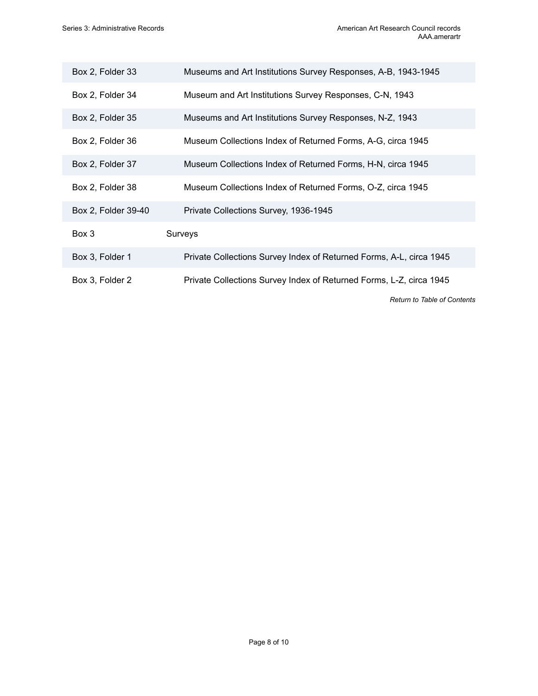| Box 2, Folder 33    | Museums and Art Institutions Survey Responses, A-B, 1943-1945       |
|---------------------|---------------------------------------------------------------------|
| Box 2, Folder 34    | Museum and Art Institutions Survey Responses, C-N, 1943             |
| Box 2, Folder 35    | Museums and Art Institutions Survey Responses, N-Z, 1943            |
| Box 2, Folder 36    | Museum Collections Index of Returned Forms, A-G, circa 1945         |
| Box 2, Folder 37    | Museum Collections Index of Returned Forms, H-N, circa 1945         |
| Box 2, Folder 38    | Museum Collections Index of Returned Forms, O-Z, circa 1945         |
| Box 2, Folder 39-40 | Private Collections Survey, 1936-1945                               |
| Box 3               | Surveys                                                             |
| Box 3, Folder 1     | Private Collections Survey Index of Returned Forms, A-L, circa 1945 |
| Box 3, Folder 2     | Private Collections Survey Index of Returned Forms, L-Z, circa 1945 |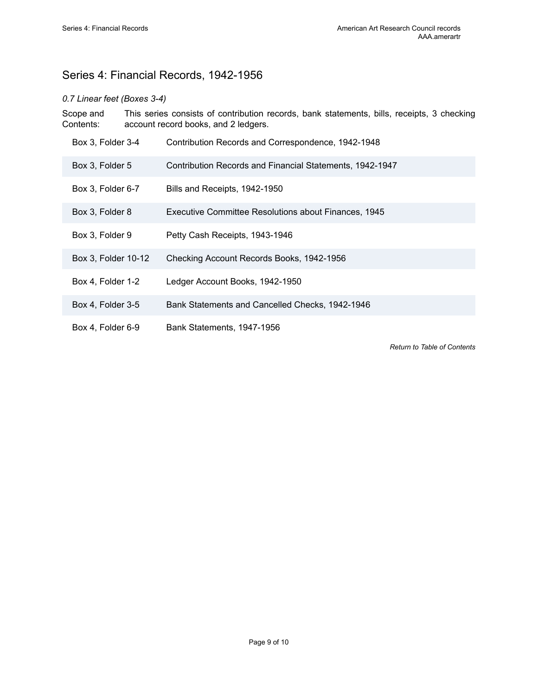## <span id="page-10-0"></span>Series 4: Financial Records, 1942-1956

#### *0.7 Linear feet (Boxes 3-4)*

Scope and Contents: This series consists of contribution records, bank statements, bills, receipts, 3 checking account record books, and 2 ledgers.

| Box 3, Folder 3-4   | Contribution Records and Correspondence, 1942-1948       |
|---------------------|----------------------------------------------------------|
| Box 3, Folder 5     | Contribution Records and Financial Statements, 1942-1947 |
| Box 3, Folder 6-7   | Bills and Receipts, 1942-1950                            |
| Box 3, Folder 8     | Executive Committee Resolutions about Finances, 1945     |
| Box 3, Folder 9     | Petty Cash Receipts, 1943-1946                           |
| Box 3, Folder 10-12 | Checking Account Records Books, 1942-1956                |
| Box 4, Folder 1-2   | Ledger Account Books, 1942-1950                          |
| Box 4, Folder 3-5   | Bank Statements and Cancelled Checks, 1942-1946          |
| Box 4, Folder 6-9   | Bank Statements, 1947-1956                               |